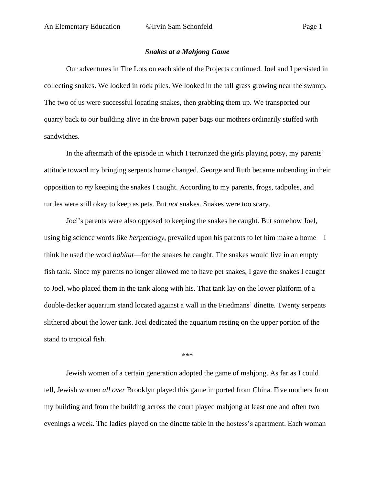## *Snakes at a Mahjong Game*

Our adventures in The Lots on each side of the Projects continued. Joel and I persisted in collecting snakes. We looked in rock piles. We looked in the tall grass growing near the swamp. The two of us were successful locating snakes, then grabbing them up. We transported our quarry back to our building alive in the brown paper bags our mothers ordinarily stuffed with sandwiches.

In the aftermath of the episode in which I terrorized the girls playing potsy, my parents' attitude toward my bringing serpents home changed. George and Ruth became unbending in their opposition to *my* keeping the snakes I caught. According to my parents, frogs, tadpoles, and turtles were still okay to keep as pets. But *not* snakes. Snakes were too scary.

Joel's parents were also opposed to keeping the snakes he caught. But somehow Joel, using big science words like *herpetology*, prevailed upon his parents to let him make a home—I think he used the word *habitat*—for the snakes he caught. The snakes would live in an empty fish tank. Since my parents no longer allowed me to have pet snakes, I gave the snakes I caught to Joel, who placed them in the tank along with his. That tank lay on the lower platform of a double-decker aquarium stand located against a wall in the Friedmans' dinette. Twenty serpents slithered about the lower tank. Joel dedicated the aquarium resting on the upper portion of the stand to tropical fish.

\*\*\*

Jewish women of a certain generation adopted the game of mahjong. As far as I could tell, Jewish women *all over* Brooklyn played this game imported from China. Five mothers from my building and from the building across the court played mahjong at least one and often two evenings a week. The ladies played on the dinette table in the hostess's apartment. Each woman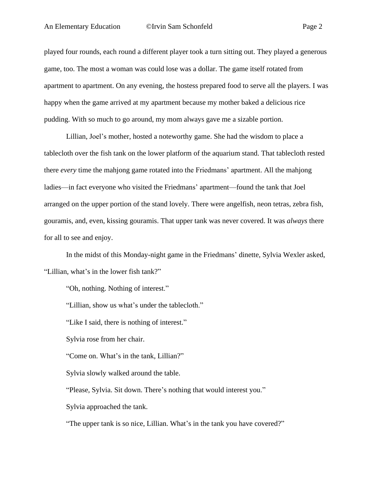played four rounds, each round a different player took a turn sitting out. They played a generous game, too. The most a woman was could lose was a dollar. The game itself rotated from apartment to apartment. On any evening, the hostess prepared food to serve all the players. I was happy when the game arrived at my apartment because my mother baked a delicious rice pudding. With so much to go around, my mom always gave me a sizable portion.

Lillian, Joel's mother, hosted a noteworthy game. She had the wisdom to place a tablecloth over the fish tank on the lower platform of the aquarium stand. That tablecloth rested there *every* time the mahjong game rotated into the Friedmans' apartment. All the mahjong ladies—in fact everyone who visited the Friedmans' apartment—found the tank that Joel arranged on the upper portion of the stand lovely. There were angelfish, neon tetras, zebra fish, gouramis, and, even, kissing gouramis. That upper tank was never covered. It was *always* there for all to see and enjoy.

In the midst of this Monday-night game in the Friedmans' dinette, Sylvia Wexler asked, "Lillian, what's in the lower fish tank?"

"Oh, nothing. Nothing of interest."

"Lillian, show us what's under the tablecloth."

"Like I said, there is nothing of interest."

Sylvia rose from her chair.

"Come on. What's in the tank, Lillian?"

Sylvia slowly walked around the table.

"Please, Sylvia. Sit down. There's nothing that would interest you."

Sylvia approached the tank.

"The upper tank is so nice, Lillian. What's in the tank you have covered?"